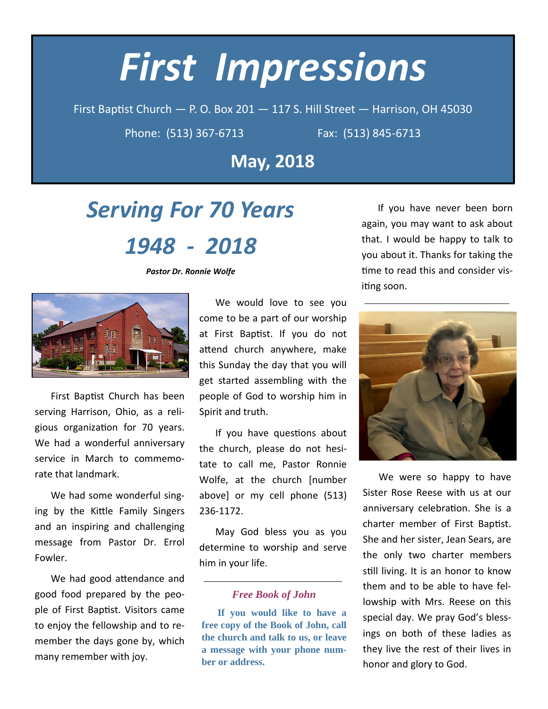# **First Impressions**

First Baptist Church - P. O. Box 201 - 117 S. Hill Street - Harrison, OH 45030

Phone: (513) 367-6713

Fax: (513) 845-6713

**May, 2018** 

## **Serving For 70 Years**

### 1948 - 2018

**Pastor Dr. Ronnie Wolfe** 



First Baptist Church has been serving Harrison, Ohio, as a religious organization for 70 years. We had a wonderful anniversary service in March to commemorate that landmark.

We had some wonderful singing by the Kittle Family Singers and an inspiring and challenging message from Pastor Dr. Errol Fowler.

We had good attendance and good food prepared by the people of First Baptist. Visitors came to enjoy the fellowship and to remember the days gone by, which many remember with joy.

We would love to see you come to be a part of our worship at First Baptist. If you do not attend church anywhere, make this Sunday the day that you will get started assembling with the people of God to worship him in Spirit and truth.

If you have questions about the church, please do not hesitate to call me, Pastor Ronnie Wolfe, at the church [number above] or my cell phone (513) 236-1172.

May God bless you as you determine to worship and serve him in your life.

#### **Free Book of John**

If you would like to have a free copy of the Book of John, call the church and talk to us, or leave a message with your phone number or address.

If you have never been born again, you may want to ask about that. I would be happy to talk to you about it. Thanks for taking the time to read this and consider visiting soon.



We were so happy to have Sister Rose Reese with us at our anniversary celebration. She is a charter member of First Baptist. She and her sister, Jean Sears, are the only two charter members still living. It is an honor to know them and to be able to have fellowship with Mrs. Reese on this special day. We pray God's blessings on both of these ladies as they live the rest of their lives in honor and glory to God.